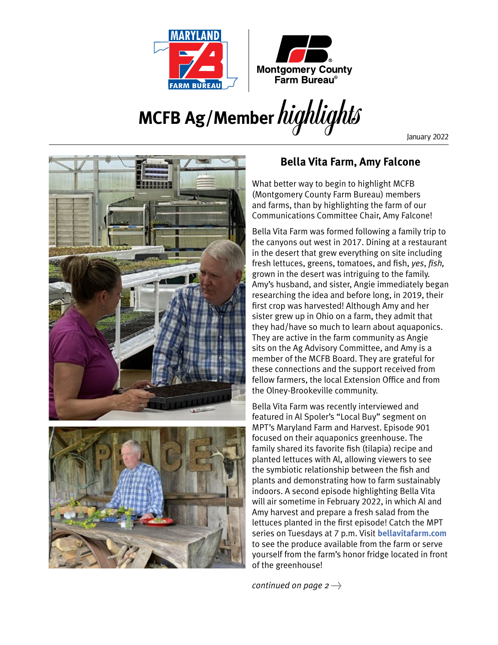



## **MCFB Ag/Member**highlights

January 2022



## **Bella Vita Farm, Amy Falcone**

What better way to begin to highlight MCFB (Montgomery County Farm Bureau) members and farms, than by highlighting the farm of our Communications Committee Chair, Amy Falcone!

Bella Vita Farm was formed following a family trip to the canyons out west in 2017. Dining at a restaurant in the desert that grew everything on site including fresh lettuces, greens, tomatoes, and fish, *yes*, *fish,* grown in the desert was intriguing to the family. Amy's husband, and sister, Angie immediately began researching the idea and before long, in 2019, their first crop was harvested! Although Amy and her sister grew up in Ohio on a farm, they admit that they had/have so much to learn about aquaponics. They are active in the farm community as Angie sits on the Ag Advisory Committee, and Amy is a member of the MCFB Board. They are grateful for these connections and the support received from fellow farmers, the local Extension Office and from the Olney-Brookeville community.

Bella Vita Farm was recently interviewed and featured in Al Spoler's "Local Buy" segment on MPT's Maryland Farm and Harvest. Episode 901 focused on their aquaponics greenhouse. The family shared its favorite fish (tilapia) recipe and planted lettuces with Al, allowing viewers to see the symbiotic relationship between the fish and plants and demonstrating how to farm sustainably indoors. A second episode highlighting Bella Vita will air sometime in February 2022, in which Al and Amy harvest and prepare a fresh salad from the lettuces planted in the first episode! Catch the MPT series on Tuesdays at 7 p.m. Visit **[bellavitafarm.com](http://www.bellavitafarm.com)** to see the produce available from the farm or serve yourself from the farm's honor fridge located in front of the greenhouse!

*continued on page 2*  $\rightarrow$